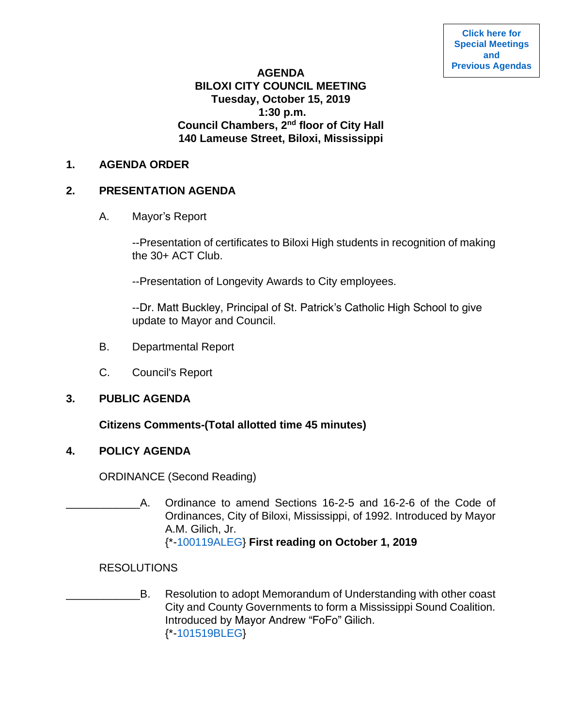## **AGENDA BILOXI CITY COUNCIL MEETING Tuesday, October 15, 2019 1:30 p.m. Council Chambers, 2nd floor of City Hall 140 Lameuse Street, Biloxi, Mississippi**

#### **1. AGENDA ORDER**

## **2. PRESENTATION AGENDA**

A. Mayor's Report

--Presentation of certificates to Biloxi High students in recognition of making the 30+ ACT Club.

--Presentation of Longevity Awards to City employees.

--Dr. Matt Buckley, Principal of St. Patrick's Catholic High School to give update to Mayor and Council.

- B. Departmental Report
- C. Council's Report

### **3. PUBLIC AGENDA**

### **Citizens Comments-(Total allotted time 45 minutes)**

### **4. POLICY AGENDA**

ORDINANCE (Second Reading)

A. Ordinance to amend Sections 16-2-5 and 16-2-6 of the Code of Ordinances, City of Biloxi, Mississippi, of 1992. Introduced by Mayor A.M. Gilich, Jr. {\*[-100119ALEG}](https://www.biloxi.ms.us/agendas/citycouncil/2019/101519/100119aleg.pdf) **First reading on October 1, 2019**

### RESOLUTIONS

B. Resolution to adopt Memorandum of Understanding with other coast City and County Governments to form a Mississippi Sound Coalition. Introduced by Mayor Andrew "FoFo" Gilich. {\*[-101519BLEG}](https://www.biloxi.ms.us/agendas/citycouncil/2019/101519/101519bleg.pdf)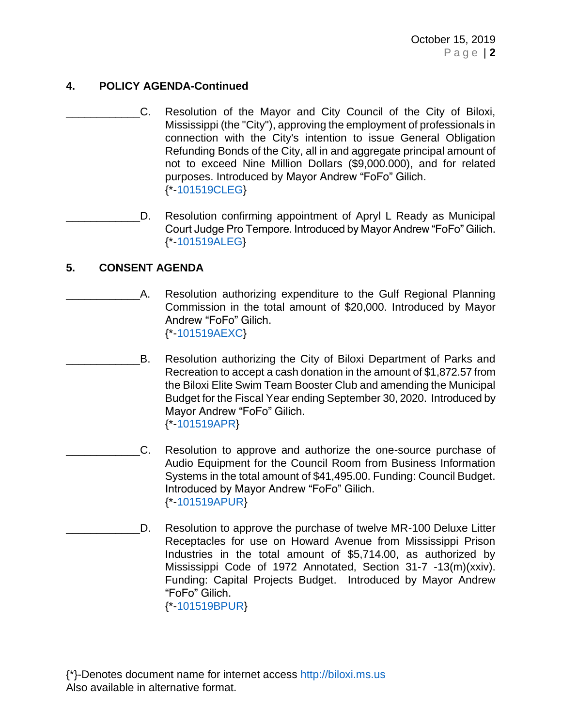# **4. POLICY AGENDA-Continued**

C. Resolution of the Mayor and City Council of the City of Biloxi, Mississippi (the "City"), approving the employment of professionals in connection with the City's intention to issue General Obligation Refunding Bonds of the City, all in and aggregate principal amount of not to exceed Nine Million Dollars (\$9,000.000), and for related purposes. Introduced by Mayor Andrew "FoFo" Gilich. {\*[-101519CLEG}](https://www.biloxi.ms.us/agendas/citycouncil/2019/101519/101519cleg.pdf)

D. Resolution confirming appointment of Apryl L Ready as Municipal Court Judge Pro Tempore. Introduced by Mayor Andrew "FoFo" Gilich. {\*[-101519ALEG}](https://www.biloxi.ms.us/agendas/citycouncil/2019/101519/101519aleg.pdf)

## **5. CONSENT AGENDA**

- A. Resolution authorizing expenditure to the Gulf Regional Planning Commission in the total amount of \$20,000. Introduced by Mayor Andrew "FoFo" Gilich. {\*[-101519AEXC}](https://www.biloxi.ms.us/agendas/citycouncil/2019/101519/101519aexc.pdf)
	- B. Resolution authorizing the City of Biloxi Department of Parks and Recreation to accept a cash donation in the amount of \$1,872.57 from the Biloxi Elite Swim Team Booster Club and amending the Municipal Budget for the Fiscal Year ending September 30, 2020. Introduced by Mayor Andrew "FoFo" Gilich. {\*[-101519APR}](https://www.biloxi.ms.us/agendas/citycouncil/2019/101519/101519apr.pdf)
- C. Resolution to approve and authorize the one-source purchase of Audio Equipment for the Council Room from Business Information Systems in the total amount of \$41,495.00. Funding: Council Budget. Introduced by Mayor Andrew "FoFo" Gilich. {\*[-101519APUR}](https://www.biloxi.ms.us/agendas/citycouncil/2019/101519/101519apur.pdf)
- D. Resolution to approve the purchase of twelve MR-100 Deluxe Litter Receptacles for use on Howard Avenue from Mississippi Prison Industries in the total amount of \$5,714.00, as authorized by Mississippi Code of 1972 Annotated, Section 31-7 -13(m)(xxiv). Funding: Capital Projects Budget. Introduced by Mayor Andrew "FoFo" Gilich.

{\*[-101519BPUR}](https://www.biloxi.ms.us/agendas/citycouncil/2019/101519/101519bpur.pdf)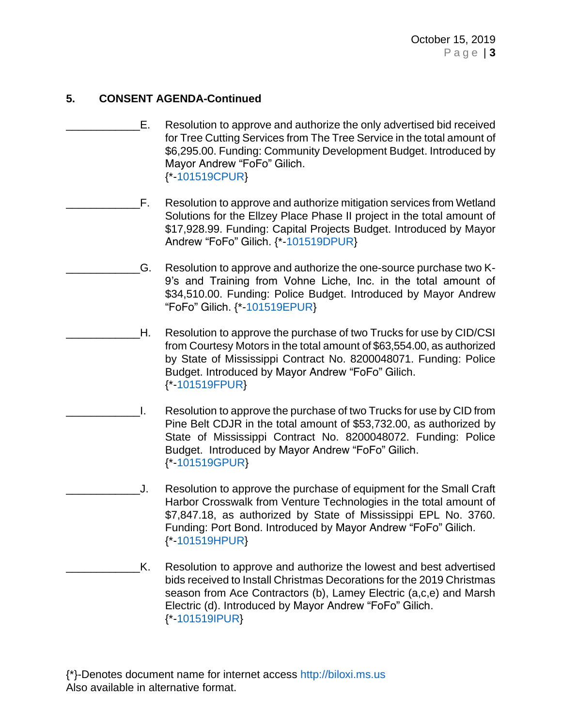- \_\_\_\_\_\_\_\_\_\_\_\_E. Resolution to approve and authorize the only advertised bid received for Tree Cutting Services from The Tree Service in the total amount of \$6,295.00. Funding: Community Development Budget. Introduced by Mayor Andrew "FoFo" Gilich. {\*[-101519CPUR}](https://www.biloxi.ms.us/agendas/citycouncil/2019/101519/101519cpur.pdf)
- F. Resolution to approve and authorize mitigation services from Wetland Solutions for the Ellzey Place Phase II project in the total amount of \$17,928.99. Funding: Capital Projects Budget. Introduced by Mayor Andrew "FoFo" Gilich. {\*[-101519DPUR}](https://www.biloxi.ms.us/agendas/citycouncil/2019/101519/101519dpur.pdf)
	- \_\_\_\_\_\_\_\_\_\_\_\_G. Resolution to approve and authorize the one-source purchase two K-9's and Training from Vohne Liche, Inc. in the total amount of \$34,510.00. Funding: Police Budget. Introduced by Mayor Andrew "FoFo" Gilich. {\*[-101519EPUR}](https://www.biloxi.ms.us/agendas/citycouncil/2019/101519/101519epur.pdf)
- \_\_\_\_\_\_\_\_\_\_\_\_H. Resolution to approve the purchase of two Trucks for use by CID/CSI from Courtesy Motors in the total amount of \$63,554.00, as authorized by State of Mississippi Contract No. 8200048071. Funding: Police Budget. Introduced by Mayor Andrew "FoFo" Gilich. {\*[-101519FPUR}](https://www.biloxi.ms.us/agendas/citycouncil/2019/101519/101519fpur.pdf)
- I. Resolution to approve the purchase of two Trucks for use by CID from Pine Belt CDJR in the total amount of \$53,732.00, as authorized by State of Mississippi Contract No. 8200048072. Funding: Police Budget. Introduced by Mayor Andrew "FoFo" Gilich. {\*[-101519GPUR}](https://www.biloxi.ms.us/agendas/citycouncil/2019/101519/101519gpur.pdf)
- \_\_\_\_\_\_\_\_\_\_\_\_J. Resolution to approve the purchase of equipment for the Small Craft Harbor Crosswalk from Venture Technologies in the total amount of \$7,847.18, as authorized by State of Mississippi EPL No. 3760. Funding: Port Bond. Introduced by Mayor Andrew "FoFo" Gilich. {\*[-101519HPUR}](https://www.biloxi.ms.us/agendas/citycouncil/2019/101519/101519hpur.pdf)
- K. Resolution to approve and authorize the lowest and best advertised bids received to Install Christmas Decorations for the 2019 Christmas season from Ace Contractors (b), Lamey Electric (a,c,e) and Marsh Electric (d). Introduced by Mayor Andrew "FoFo" Gilich. {\*[-101519IPUR}](https://www.biloxi.ms.us/agendas/citycouncil/2019/101519/101519ipur.pdf)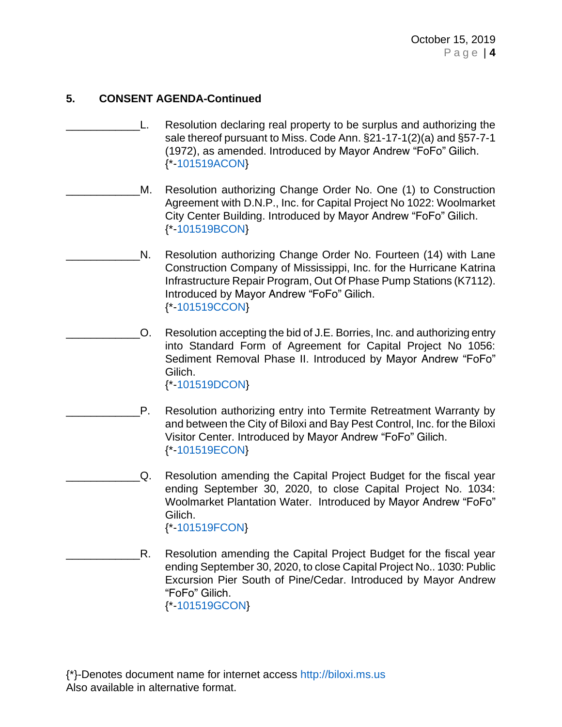- L. Resolution declaring real property to be surplus and authorizing the sale thereof pursuant to Miss. Code Ann. §21-17-1(2)(a) and §57-7-1 (1972), as amended. Introduced by Mayor Andrew "FoFo" Gilich. {\*[-101519ACON}](https://www.biloxi.ms.us/agendas/citycouncil/2019/101519/101519acon.pdf)
	- M. Resolution authorizing Change Order No. One (1) to Construction Agreement with D.N.P., Inc. for Capital Project No 1022: Woolmarket City Center Building. Introduced by Mayor Andrew "FoFo" Gilich. {\*[-101519BCON}](https://www.biloxi.ms.us/agendas/citycouncil/2019/101519/101519bcon.pdf)
	- N. Resolution authorizing Change Order No. Fourteen (14) with Lane Construction Company of Mississippi, Inc. for the Hurricane Katrina Infrastructure Repair Program, Out Of Phase Pump Stations (K7112). Introduced by Mayor Andrew "FoFo" Gilich. {\*[-101519CCON}](https://www.biloxi.ms.us/agendas/citycouncil/2019/101519/101519ccon.pdf)
- \_\_\_\_\_\_\_\_\_\_\_\_O. Resolution accepting the bid of J.E. Borries, Inc. and authorizing entry into Standard Form of Agreement for Capital Project No 1056: Sediment Removal Phase II. Introduced by Mayor Andrew "FoFo" Gilich. {\*[-101519DCON}](https://www.biloxi.ms.us/agendas/citycouncil/2019/101519/101519dcon.pdf)
	- P. Resolution authorizing entry into Termite Retreatment Warranty by and between the City of Biloxi and Bay Pest Control, Inc. for the Biloxi Visitor Center. Introduced by Mayor Andrew "FoFo" Gilich. {\*[-101519ECON}](https://www.biloxi.ms.us/agendas/citycouncil/2019/101519/101519econ.pdf)
	- \_\_\_\_\_\_\_\_\_\_\_\_Q. Resolution amending the Capital Project Budget for the fiscal year ending September 30, 2020, to close Capital Project No. 1034: Woolmarket Plantation Water. Introduced by Mayor Andrew "FoFo" Gilich. {\*[-101519FCON}](https://www.biloxi.ms.us/agendas/citycouncil/2019/101519/101519fcon.pdf)
- R. Resolution amending the Capital Project Budget for the fiscal year ending September 30, 2020, to close Capital Project No.. 1030: Public Excursion Pier South of Pine/Cedar. Introduced by Mayor Andrew "FoFo" Gilich. {\*[-101519GCON}](https://www.biloxi.ms.us/agendas/citycouncil/2019/101519/101519gcon.pdf)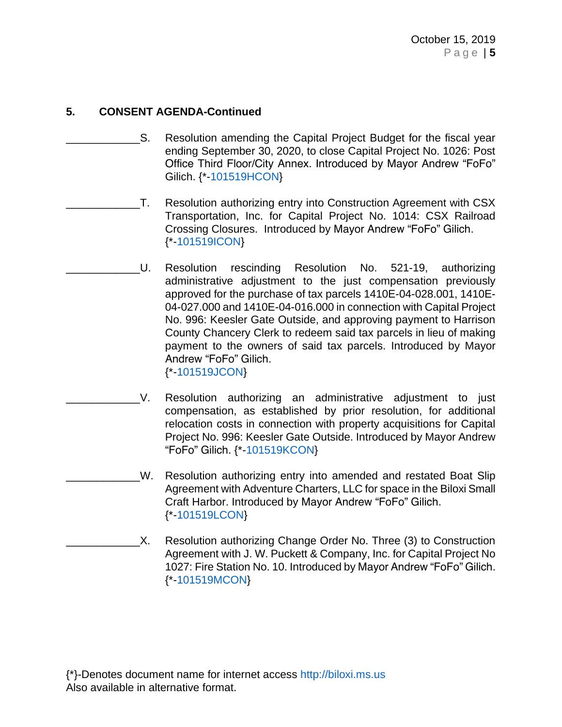- S. Resolution amending the Capital Project Budget for the fiscal year ending September 30, 2020, to close Capital Project No. 1026: Post Office Third Floor/City Annex. Introduced by Mayor Andrew "FoFo" Gilich. {\*[-101519HCON}](https://www.biloxi.ms.us/agendas/citycouncil/2019/101519/101519hcon.pdf)
- T. Resolution authorizing entry into Construction Agreement with CSX Transportation, Inc. for Capital Project No. 1014: CSX Railroad Crossing Closures. Introduced by Mayor Andrew "FoFo" Gilich. {\*[-101519ICON}](https://www.biloxi.ms.us/agendas/citycouncil/2019/101519/101519icon.pdf)
	- \_\_\_\_\_\_\_\_\_\_\_\_U. Resolution rescinding Resolution No. 521-19, authorizing administrative adjustment to the just compensation previously approved for the purchase of tax parcels 1410E-04-028.001, 1410E-04-027.000 and 1410E-04-016.000 in connection with Capital Project No. 996: Keesler Gate Outside, and approving payment to Harrison County Chancery Clerk to redeem said tax parcels in lieu of making payment to the owners of said tax parcels. Introduced by Mayor Andrew "FoFo" Gilich. {\*[-101519JCON}](https://www.biloxi.ms.us/agendas/citycouncil/2019/101519/101519jcon.pdf)
- \_\_\_\_\_\_\_\_\_\_\_\_V. Resolution authorizing an administrative adjustment to just compensation, as established by prior resolution, for additional relocation costs in connection with property acquisitions for Capital Project No. 996: Keesler Gate Outside. Introduced by Mayor Andrew "FoFo" Gilich. {\*[-101519KCON}](https://www.biloxi.ms.us/agendas/citycouncil/2019/101519/101519kcon.pdf)
	- W. Resolution authorizing entry into amended and restated Boat Slip Agreement with Adventure Charters, LLC for space in the Biloxi Small Craft Harbor. Introduced by Mayor Andrew "FoFo" Gilich. {\*[-101519LCON}](https://www.biloxi.ms.us/agendas/citycouncil/2019/101519/101519lcon.pdf)
	- X. Resolution authorizing Change Order No. Three (3) to Construction Agreement with J. W. Puckett & Company, Inc. for Capital Project No 1027: Fire Station No. 10. Introduced by Mayor Andrew "FoFo" Gilich. {\*[-101519MCON}](https://www.biloxi.ms.us/agendas/citycouncil/2019/101519/101519mcon.pdf)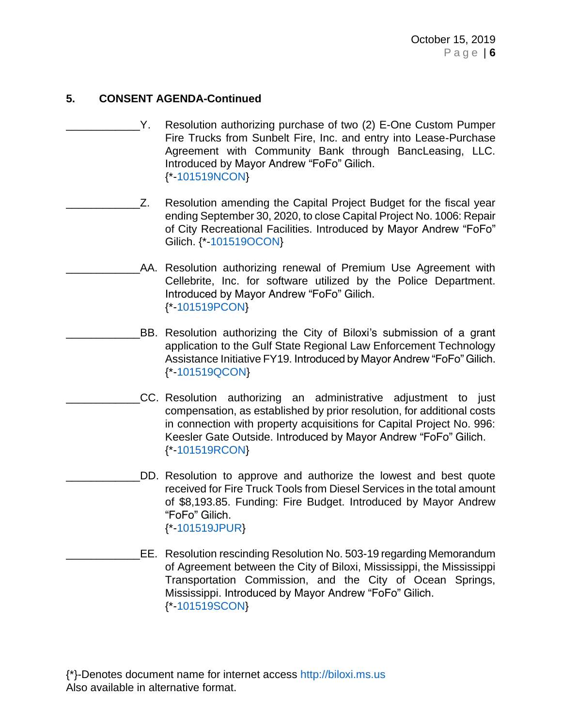- Y. Resolution authorizing purchase of two (2) E-One Custom Pumper Fire Trucks from Sunbelt Fire, Inc. and entry into Lease-Purchase Agreement with Community Bank through BancLeasing, LLC. Introduced by Mayor Andrew "FoFo" Gilich. {\*[-101519NCON}](https://www.biloxi.ms.us/agendas/citycouncil/2019/101519/101519ncon.pdf)
- Z. Resolution amending the Capital Project Budget for the fiscal year ending September 30, 2020, to close Capital Project No. 1006: Repair of City Recreational Facilities. Introduced by Mayor Andrew "FoFo" Gilich. {\*[-101519OCON}](https://www.biloxi.ms.us/agendas/citycouncil/2019/101519/101519ocon.pdf)
	- AA. Resolution authorizing renewal of Premium Use Agreement with Cellebrite, Inc. for software utilized by the Police Department. Introduced by Mayor Andrew "FoFo" Gilich. {\*[-101519PCON}](https://www.biloxi.ms.us/agendas/citycouncil/2019/101519/101519pcon.pdf)
- BB. Resolution authorizing the City of Biloxi's submission of a grant application to the Gulf State Regional Law Enforcement Technology Assistance Initiative FY19. Introduced by Mayor Andrew "FoFo" Gilich. {\*[-101519QCON}](https://www.biloxi.ms.us/agendas/citycouncil/2019/101519/101519qcon.pdf)
	- CC. Resolution authorizing an administrative adjustment to just compensation, as established by prior resolution, for additional costs in connection with property acquisitions for Capital Project No. 996: Keesler Gate Outside. Introduced by Mayor Andrew "FoFo" Gilich. {\*[-101519RCON}](https://www.biloxi.ms.us/agendas/citycouncil/2019/101519/101519rcon.pdf)
		- DD. Resolution to approve and authorize the lowest and best quote received for Fire Truck Tools from Diesel Services in the total amount of \$8,193.85. Funding: Fire Budget. Introduced by Mayor Andrew "FoFo" Gilich. {\*[-101519JPUR}](https://www.biloxi.ms.us/agendas/citycouncil/2019/101519/101519jpur.pdf)
- \_\_\_\_\_\_\_\_\_\_\_\_EE. Resolution rescinding Resolution No. 503-19 regarding Memorandum of Agreement between the City of Biloxi, Mississippi, the Mississippi Transportation Commission, and the City of Ocean Springs, Mississippi. Introduced by Mayor Andrew "FoFo" Gilich. {\*[-101519SCON}](https://www.biloxi.ms.us/agendas/citycouncil/2019/101519/101519scon.pdf)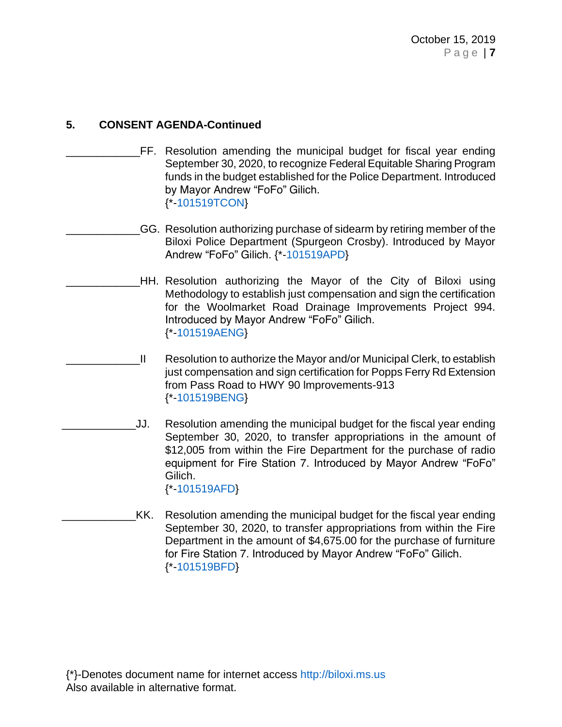- \_\_\_\_\_\_\_\_\_\_\_\_FF. Resolution amending the municipal budget for fiscal year ending September 30, 2020, to recognize Federal Equitable Sharing Program funds in the budget established for the Police Department. Introduced by Mayor Andrew "FoFo" Gilich. {\*[-101519TCON}](https://www.biloxi.ms.us/agendas/citycouncil/2019/101519/101519tcon.pdf)
	- GG. Resolution authorizing purchase of sidearm by retiring member of the Biloxi Police Department (Spurgeon Crosby). Introduced by Mayor Andrew "FoFo" Gilich. {\*[-101519APD}](https://www.biloxi.ms.us/agendas/citycouncil/2019/101519/101519apd.pdf)
		- \_\_\_\_\_\_\_\_\_\_\_\_HH. Resolution authorizing the Mayor of the City of Biloxi using Methodology to establish just compensation and sign the certification for the Woolmarket Road Drainage Improvements Project 994. Introduced by Mayor Andrew "FoFo" Gilich. {\*[-101519AENG}](https://www.biloxi.ms.us/agendas/citycouncil/2019/101519/101519aeng.pdf)
		- II Resolution to authorize the Mayor and/or Municipal Clerk, to establish just compensation and sign certification for Popps Ferry Rd Extension from Pass Road to HWY 90 lmprovements-913 {\*[-101519BENG}](https://www.biloxi.ms.us/agendas/citycouncil/2019/101519/101519beng.pdf)
- \_\_\_\_\_\_\_\_\_\_\_\_JJ. Resolution amending the municipal budget for the fiscal year ending September 30, 2020, to transfer appropriations in the amount of \$12,005 from within the Fire Department for the purchase of radio equipment for Fire Station 7. Introduced by Mayor Andrew "FoFo" Gilich. {\*[-101519AFD}](https://www.biloxi.ms.us/agendas/citycouncil/2019/101519/101519afd.pdf)
	- KK. Resolution amending the municipal budget for the fiscal year ending September 30, 2020, to transfer appropriations from within the Fire Department in the amount of \$4,675.00 for the purchase of furniture for Fire Station 7. Introduced by Mayor Andrew "FoFo" Gilich. {\*[-101519BFD}](https://www.biloxi.ms.us/agendas/citycouncil/2019/101519/101519bfd.pdf)